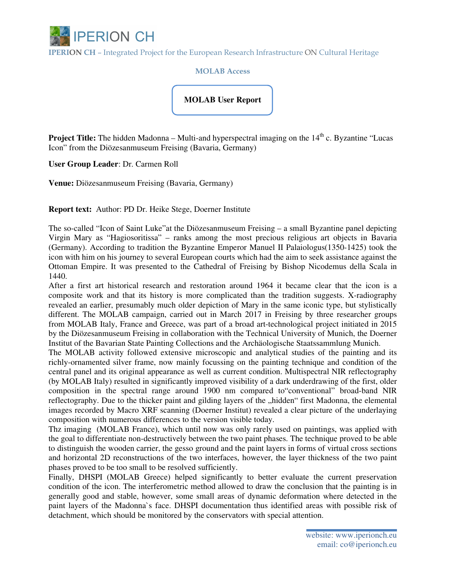

IPERION CH – Integrated Project for the European Research Infrastructure ON Cultural Heritage

MOLAB Access

## **MOLAB User Report**

**Project Title:** The hidden Madonna – Multi-and hyperspectral imaging on the 14<sup>th</sup> c. Byzantine "Lucas" Icon" from the Diözesanmuseum Freising (Bavaria, Germany)

**User Group Leader**: Dr. Carmen Roll

**Venue:** Diözesanmuseum Freising (Bavaria, Germany)

**Report text:** Author: PD Dr. Heike Stege, Doerner Institute

The so-called "Icon of Saint Luke"at the Diözesanmuseum Freising – a small Byzantine panel depicting Virgin Mary as "Hagiosoritissa" – ranks among the most precious religious art objects in Bavaria (Germany). According to tradition the Byzantine Emperor Manuel II Palaiologus(1350-1425) took the icon with him on his journey to several European courts which had the aim to seek assistance against the Ottoman Empire. It was presented to the Cathedral of Freising by Bishop Nicodemus della Scala in 1440.

After a first art historical research and restoration around 1964 it became clear that the icon is a composite work and that its history is more complicated than the tradition suggests. X-radiography revealed an earlier, presumably much older depiction of Mary in the same iconic type, but stylistically different. The MOLAB campaign, carried out in March 2017 in Freising by three researcher groups from MOLAB Italy, France and Greece, was part of a broad art-technological project initiated in 2015 by the Diözesanmuseum Freising in collaboration with the Technical University of Munich, the Doerner Institut of the Bavarian State Painting Collections and the Archäologische Staatssammlung Munich.

The MOLAB activity followed extensive microscopic and analytical studies of the painting and its richly-ornamented silver frame, now mainly focussing on the painting technique and condition of the central panel and its original appearance as well as current condition. Multispectral NIR reflectography (by MOLAB Italy) resulted in significantly improved visibility of a dark underdrawing of the first, older composition in the spectral range around 1900 nm compared to"conventional" broad-band NIR reflectography. Due to the thicker paint and gilding layers of the "hidden" first Madonna, the elemental images recorded by Macro XRF scanning (Doerner Institut) revealed a clear picture of the underlaying composition with numerous differences to the version visible today.

Thz imaging (MOLAB France), which until now was only rarely used on paintings, was applied with the goal to differentiate non-destructively between the two paint phases. The technique proved to be able to distinguish the wooden carrier, the gesso ground and the paint layers in forms of virtual cross sections and horizontal 2D reconstructions of the two interfaces, however, the layer thickness of the two paint phases proved to be too small to be resolved sufficiently.

Finally, DHSPI (MOLAB Greece) helped significantly to better evaluate the current preservation condition of the icon. The interferometric method allowed to draw the conclusion that the painting is in generally good and stable, however, some small areas of dynamic deformation where detected in the paint layers of the Madonna`s face. DHSPI documentation thus identified areas with possible risk of detachment, which should be monitored by the conservators with special attention.